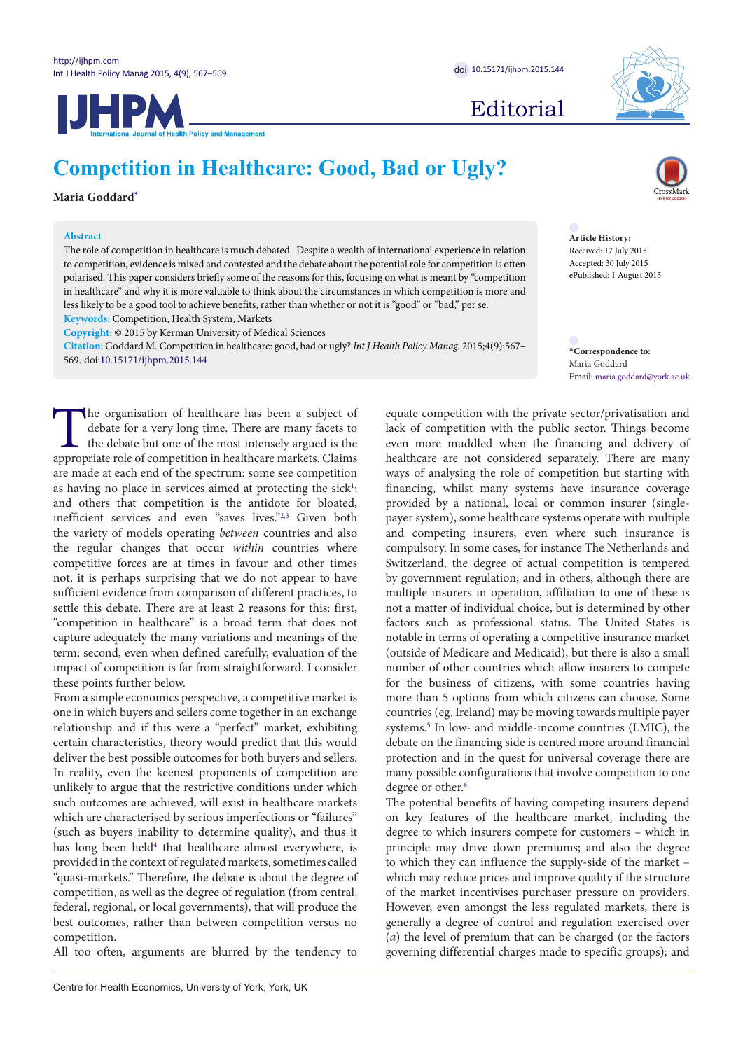JHPM



Editorial

# **Competition in Healthcare: Good, Bad or Ugly?**

**Maria Goddard[\\*](#page-0-0)**

# **Abstract**

The role of competition in healthcare is much debated. Despite a wealth of international experience in relation to competition, evidence is mixed and contested and the debate about the potential role for competition is often polarised. This paper considers briefly some of the reasons for this, focusing on what is meant by "competition in healthcare" and why it is more valuable to think about the circumstances in which competition is more and less likely to be a good tool to achieve benefits, rather than whether or not it is "good" or "bad," per se.

**Keywords:** Competition, Health System, Markets

**Copyright:** © 2015 by Kerman University of Medical Sciences

**Citation:** Goddard M. Competition in healthcare: good, bad or ugly? *Int J Health Policy Manag.* 2015;4(9):567– 569. doi[:10.15171/ijhpm.2015.144](http://dx.doi.org/10.15171/ijhpm.2015.144) **\*Correspondence to:**

The organisation of healthcare has been a subject of debate for a very long time. There are many facets to the debate but one of the most intensely argued is the appropriate role of competition in healthcare markets. Claim debate for a very long time. There are many facets to the debate but one of the most intensely argued is the appropriate role of competition in healthcare markets. Claims are made at each end of the spectrum: some see competition as having no place in services aimed at protecting the sick<sup>1</sup>; and others that competition is the antidote for bloated, inefficient services and even "saves lives."[2,](#page-2-0)[3](#page-2-1) Given both the variety of models operating *between* countries and also the regular changes that occur *within* countries where competitive forces are at times in favour and other times not, it is perhaps surprising that we do not appear to have sufficient evidence from comparison of different practices, to settle this debate. There are at least 2 reasons for this: first, "competition in healthcare" is a broad term that does not capture adequately the many variations and meanings of the term; second, even when defined carefully, evaluation of the impact of competition is far from straightforward. I consider these points further below.

From a simple economics perspective, a competitive market is one in which buyers and sellers come together in an exchange relationship and if this were a "perfect" market, exhibiting certain characteristics, theory would predict that this would deliver the best possible outcomes for both buyers and sellers. In reality, even the keenest proponents of competition are unlikely to argue that the restrictive conditions under which such outcomes are achieved, will exist in healthcare markets which are characterised by serious imperfections or "failures" (such as buyers inability to determine quality), and thus it has long been held<sup>4</sup> that healthcare almost everywhere, is provided in the context of regulated markets, sometimes called "quasi-markets." Therefore, the debate is about the degree of competition, as well as the degree of regulation (from central, federal, regional, or local governments), that will produce the best outcomes, rather than between competition versus no competition.

All too often, arguments are blurred by the tendency to



**Article History:** Received: 17 July 2015 Accepted: 30 July 2015 ePublished: 1 August 2015

<span id="page-0-0"></span>Maria Goddard Email: maria.goddard@york.ac.uk

equate competition with the private sector/privatisation and lack of competition with the public sector. Things become even more muddled when the financing and delivery of healthcare are not considered separately. There are many ways of analysing the role of competition but starting with financing, whilst many systems have insurance coverage provided by a national, local or common insurer (singlepayer system), some healthcare systems operate with multiple and competing insurers, even where such insurance is compulsory. In some cases, for instance The Netherlands and Switzerland, the degree of actual competition is tempered by government regulation; and in others, although there are multiple insurers in operation, affiliation to one of these is not a matter of individual choice, but is determined by other factors such as professional status. The United States is notable in terms of operating a competitive insurance market (outside of Medicare and Medicaid), but there is also a small number of other countries which allow insurers to compete for the business of citizens, with some countries having more than 5 options from which citizens can choose. Some countries (eg, Ireland) may be moving towards multiple payer systems.<sup>5</sup> In low- and middle-income countries (LMIC), the debate on the financing side is centred more around financial protection and in the quest for universal coverage there are many possible configurations that involve competition to one degree or other.<sup>[6](#page-2-4)</sup>

The potential benefits of having competing insurers depend on key features of the healthcare market, including the degree to which insurers compete for customers – which in principle may drive down premiums; and also the degree to which they can influence the supply-side of the market – which may reduce prices and improve quality if the structure of the market incentivises purchaser pressure on providers. However, even amongst the less regulated markets, there is generally a degree of control and regulation exercised over (*a*) the level of premium that can be charged (or the factors governing differential charges made to specific groups); and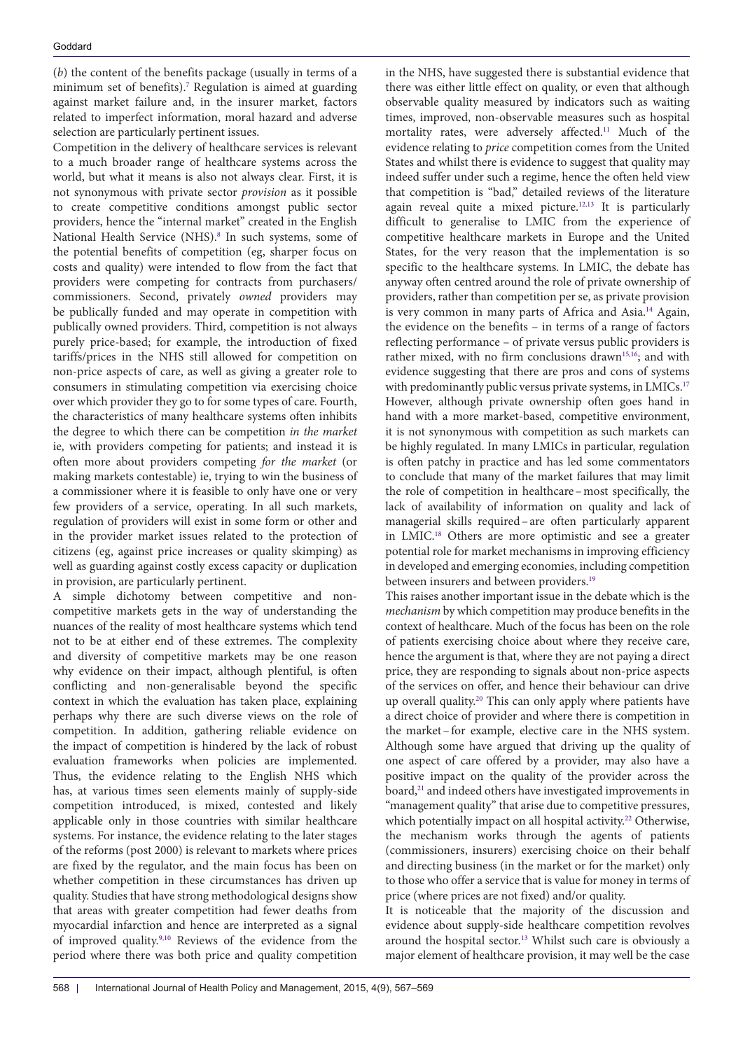(*b*) the content of the benefits package (usually in terms of a minimum set of benefits)[.7](#page-2-5) Regulation is aimed at guarding against market failure and, in the insurer market, factors related to imperfect information, moral hazard and adverse selection are particularly pertinent issues.

Competition in the delivery of healthcare services is relevant to a much broader range of healthcare systems across the world, but what it means is also not always clear. First, it is not synonymous with private sector *provision* as it possible to create competitive conditions amongst public sector providers, hence the "internal market" created in the English National Health Service (NHS).<sup>[8](#page-2-6)</sup> In such systems, some of the potential benefits of competition (eg, sharper focus on costs and quality) were intended to flow from the fact that providers were competing for contracts from purchasers/ commissioners. Second, privately *owned* providers may be publically funded and may operate in competition with publically owned providers. Third, competition is not always purely price-based; for example, the introduction of fixed tariffs/prices in the NHS still allowed for competition on non-price aspects of care, as well as giving a greater role to consumers in stimulating competition via exercising choice over which provider they go to for some types of care. Fourth, the characteristics of many healthcare systems often inhibits the degree to which there can be competition *in the market*  ie, with providers competing for patients; and instead it is often more about providers competing *for the market* (or making markets contestable) ie, trying to win the business of a commissioner where it is feasible to only have one or very few providers of a service, operating. In all such markets, regulation of providers will exist in some form or other and in the provider market issues related to the protection of citizens (eg, against price increases or quality skimping) as well as guarding against costly excess capacity or duplication in provision, are particularly pertinent.

A simple dichotomy between competitive and noncompetitive markets gets in the way of understanding the nuances of the reality of most healthcare systems which tend not to be at either end of these extremes. The complexity and diversity of competitive markets may be one reason why evidence on their impact, although plentiful, is often conflicting and non-generalisable beyond the specific context in which the evaluation has taken place, explaining perhaps why there are such diverse views on the role of competition. In addition, gathering reliable evidence on the impact of competition is hindered by the lack of robust evaluation frameworks when policies are implemented. Thus, the evidence relating to the English NHS which has, at various times seen elements mainly of supply-side competition introduced, is mixed, contested and likely applicable only in those countries with similar healthcare systems. For instance, the evidence relating to the later stages of the reforms (post 2000) is relevant to markets where prices are fixed by the regulator, and the main focus has been on whether competition in these circumstances has driven up quality. Studies that have strong methodological designs show that areas with greater competition had fewer deaths from myocardial infarction and hence are interpreted as a signal of improved quality[.9](#page-2-7)[,10](#page-2-8) Reviews of the evidence from the period where there was both price and quality competition

in the NHS, have suggested there is substantial evidence that there was either little effect on quality, or even that although observable quality measured by indicators such as waiting times, improved, non-observable measures such as hospital mortality rates, were adversely affected.<sup>11</sup> Much of the evidence relating to *price* competition comes from the United States and whilst there is evidence to suggest that quality may indeed suffer under such a regime, hence the often held view that competition is "bad," detailed reviews of the literature again reveal quite a mixed picture.<sup>[12](#page-2-10),[13](#page-2-11)</sup> It is particularly difficult to generalise to LMIC from the experience of competitive healthcare markets in Europe and the United States, for the very reason that the implementation is so specific to the healthcare systems. In LMIC, the debate has anyway often centred around the role of private ownership of providers, rather than competition per se, as private provision is very common in many parts of Africa and Asia.[14](#page-2-12) Again, the evidence on the benefits – in terms of a range of factors reflecting performance – of private versus public providers is rather mixed, with no firm conclusions drawn<sup>[15](#page-2-13)[,16](#page-2-14)</sup>; and with evidence suggesting that there are pros and cons of systems with predominantly public versus private systems, in LMICs.<sup>17</sup> However, although private ownership often goes hand in hand with a more market-based, competitive environment, it is not synonymous with competition as such markets can be highly regulated. In many LMICs in particular, regulation is often patchy in practice and has led some commentators to conclude that many of the market failures that may limit the role of competition in healthcare–most specifically, the lack of availability of information on quality and lack of managerial skills required–are often particularly apparent in LMIC[.18](#page-2-16) Others are more optimistic and see a greater potential role for market mechanisms in improving efficiency in developed and emerging economies, including competition between insurers and between providers.<sup>[19](#page-2-17)</sup>

This raises another important issue in the debate which is the *mechanism* by which competition may produce benefits in the context of healthcare. Much of the focus has been on the role of patients exercising choice about where they receive care, hence the argument is that, where they are not paying a direct price, they are responding to signals about non-price aspects of the services on offer, and hence their behaviour can drive up overall quality.<sup>20</sup> This can only apply where patients have a direct choice of provider and where there is competition in the market–for example, elective care in the NHS system. Although some have argued that driving up the quality of one aspect of care offered by a provider, may also have a positive impact on the quality of the provider across the board,<sup>[21](#page-2-19)</sup> and indeed others have investigated improvements in "management quality" that arise due to competitive pressures, which potentially impact on all hospital activity.<sup>[22](#page-2-20)</sup> Otherwise, the mechanism works through the agents of patients (commissioners, insurers) exercising choice on their behalf and directing business (in the market or for the market) only to those who offer a service that is value for money in terms of price (where prices are not fixed) and/or quality.

It is noticeable that the majority of the discussion and evidence about supply-side healthcare competition revolves around the hospital sector.<sup>13</sup> Whilst such care is obviously a major element of healthcare provision, it may well be the case